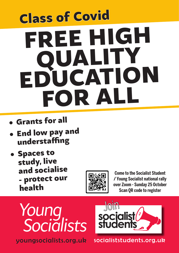# FREE HIGH QUALITY EDUCATION FOR ALL Class of Covid

- • Grants for all
- **End low pay and** understaffing
- • Spaces to study, live and socialise protect our health



**Come to the Socialist Student / Young Socialist national rally over Zoom - Sunday 25 October Scan QR code to register**



youngsocialists.org.uk



socialiststudents.org.uk